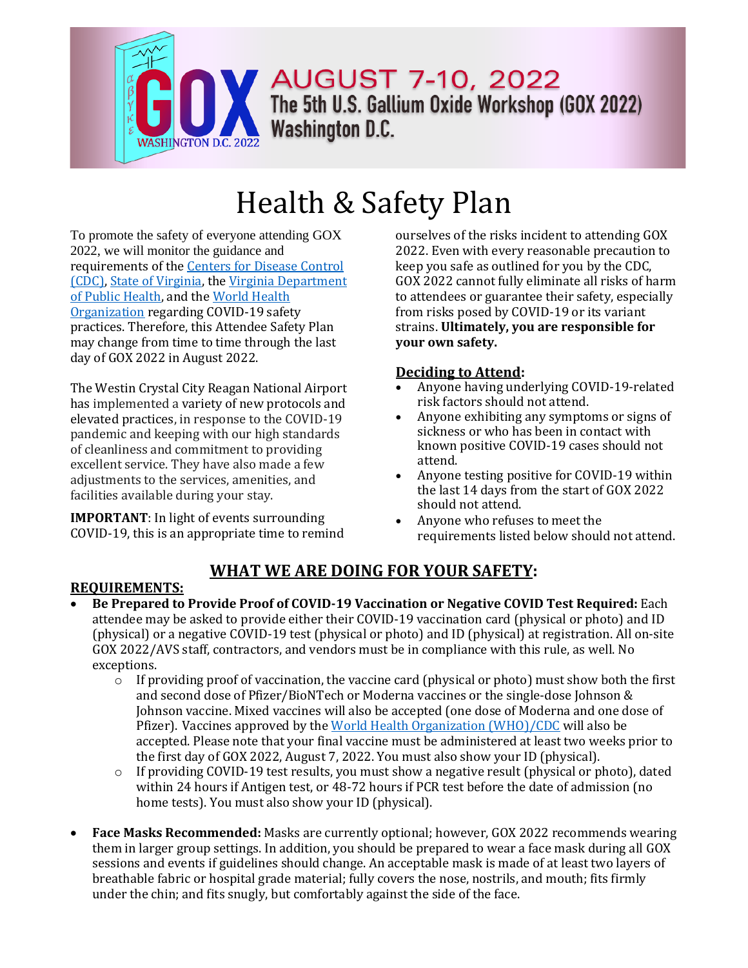

# Health & Safety Plan

To promote the safety of everyone attending GOX 2022, we will monitor the guidance and requirements of the Centers for Disease Control (CDC), State of Virginia, the Virginia Department of Public Health, and the World Health Organization regarding COVID-19 safety practices. Therefore, this Attendee Safety Plan may change from time to time through the last day of GOX 2022 in August 2022.

The Westin Crystal City Reagan National Airport has implemented a variety of new protocols and elevated practices, in response to the COVID-19 pandemic and keeping with our high standards of cleanliness and commitment to providing excellent service. They have also made a few adjustments to the services, amenities, and facilities available during your stay.

**IMPORTANT**: In light of events surrounding COVID-19, this is an appropriate time to remind

ourselves of the risks incident to attending GOX 2022. Even with every reasonable precaution to keep you safe as outlined for you by the CDC, GOX 2022 cannot fully eliminate all risks of harm to attendees or guarantee their safety, especially from risks posed by COVID-19 or its variant strains. **Ultimately, you are responsible for your own safety.**

#### **Deciding to Attend:**

- Anyone having underlying COVID-19-related risk factors should not attend.
- Anyone exhibiting any symptoms or signs of sickness or who has been in contact with known positive COVID-19 cases should not attend.
- Anyone testing positive for COVID-19 within the last 14 days from the start of GOX 2022 should not attend.
- Anyone who refuses to meet the requirements listed below should not attend.

# **WHAT WE ARE DOING FOR YOUR SAFETY:**

#### **REQUIREMENTS:**

- **Be Prepared to Provide Proof of COVID-19 Vaccination or Negative COVID Test Required:** Each attendee may be asked to provide either their COVID-19 vaccination card (physical or photo) and ID (physical) or a negative COVID-19 test (physical or photo) and ID (physical) at registration. All on-site GOX 2022/AVS staff, contractors, and vendors must be in compliance with this rule, as well. No exceptions.
	- $\circ$  If providing proof of vaccination, the vaccine card (physical or photo) must show both the first and second dose of Pfizer/BioNTech or Moderna vaccines or the single-dose Johnson & Johnson vaccine. Mixed vaccines will also be accepted (one dose of Moderna and one dose of Pfizer). Vaccines approved by the World Health Organization (WHO)/CDC will also be accepted. Please note that your final vaccine must be administered at least two weeks prior to the first day of GOX 2022, August 7, 2022. You must also show your ID (physical).
	- $\circ$  If providing COVID-19 test results, you must show a negative result (physical or photo), dated within 24 hours if Antigen test, or 48-72 hours if PCR test before the date of admission (no home tests). You must also show your ID (physical).
- **Face Masks Recommended:** Masks are currently optional; however, GOX 2022 recommends wearing them in larger group settings. In addition, you should be prepared to wear a face mask during all GOX sessions and events if guidelines should change. An acceptable mask is made of at least two layers of breathable fabric or hospital grade material; fully covers the nose, nostrils, and mouth; fits firmly under the chin; and fits snugly, but comfortably against the side of the face.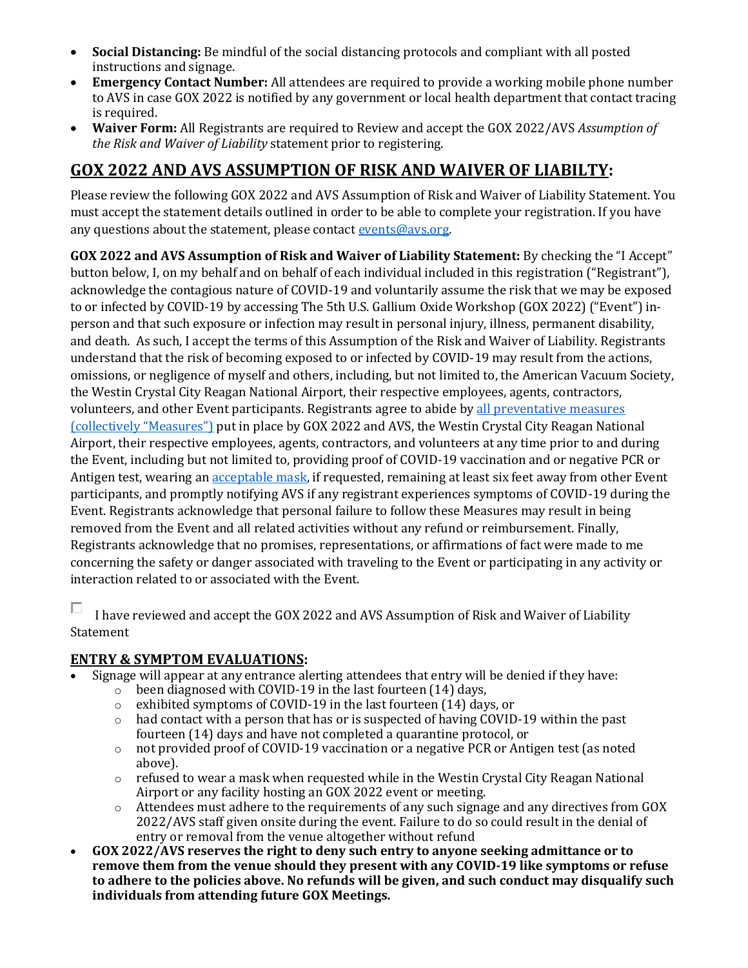- **Social Distancing:** Be mindful of the social distancing protocols and compliant with all posted instructions and signage.
- **Emergency Contact Number:** All attendees are required to provide a working mobile phone number to AVS in case GOX 2022 is notified by any government or local health department that contact tracing is required.
- **Waiver Form:** All Registrants are required to Review and accept the GOX 2022/AVS *Assumption of the Risk and Waiver of Liability* statement prior to registering.

# **GOX 2022 AND AVS ASSUMPTION OF RISK AND WAIVER OF LIABILTY:**

Please review the following GOX 2022 and AVS Assumption of Risk and Waiver of Liability Statement. You must accept the statement details outlined in order to be able to complete your registration. If you have any questions about the statement, please contact [events@avs.org.](mailto:events@avs.org?Subject=)

**GOX 2022 and AVS Assumption of Risk and Waiver of Liability Statement:** By checking the "I Accept" button below, I, on my behalf and on behalf of each individual included in this registration ("Registrant"), acknowledge the contagious nature of COVID-19 and voluntarily assume the risk that we may be exposed to or infected by COVID-19 by accessing The 5th U.S. Gallium Oxide Workshop (GOX 2022) ("Event") inperson and that such exposure or infection may result in personal injury, illness, permanent disability, and death. As such, I accept the terms of this Assumption of the Risk and Waiver of Liability. Registrants understand that the risk of becoming exposed to or infected by COVID-19 may result from the actions, omissions, or negligence of myself and others, including, but not limited to, the American Vacuum Society, the Westin Crystal City Reagan National Airport, their respective employees, agents, contractors, volunteers, and other Event participants. Registrants agree to abide by [all preventative measures](https://gox2022.avs.org/wp-content/uploads/2022/02/GOX-2022-Health-Safety-Plan.pdf)  [\(collectively "Measures"\)](https://gox2022.avs.org/wp-content/uploads/2022/02/GOX-2022-Health-Safety-Plan.pdf) put in place by GOX 2022 and AVS, the Westin Crystal City Reagan National Airport, their respective employees, agents, contractors, and volunteers at any time prior to and during the Event, including but not limited to, providing proof of COVID-19 vaccination and or negative PCR or Antigen test, wearing an **acceptable mask**, if requested, remaining at least six feet away from other Event participants, and promptly notifying AVS if any registrant experiences symptoms of COVID-19 during the Event. Registrants acknowledge that personal failure to follow these Measures may result in being removed from the Event and all related activities without any refund or reimbursement. Finally, Registrants acknowledge that no promises, representations, or affirmations of fact were made to me concerning the safety or danger associated with traveling to the Event or participating in any activity or interaction related to or associated with the Event.

П I have reviewed and accept the GOX 2022 and AVS Assumption of Risk and Waiver of Liability Statement

## **ENTRY & SYMPTOM EVALUATIONS:**

- Signage will appear at any entrance alerting attendees that entry will be denied if they have:
	- $\circ$  been diagnosed with COVID-19 in the last fourteen (14) days,
	- o exhibited symptoms of COVID-19 in the last fourteen (14) days, or
	- $\circ$  had contact with a person that has or is suspected of having COVID-19 within the past fourteen (14) days and have not completed a quarantine protocol, or
	- o not provided proof of COVID-19 vaccination or a negative PCR or Antigen test (as noted above).
	- $\circ$  refused to wear a mask when requested while in the Westin Crystal City Reagan National Airport or any facility hosting an GOX 2022 event or meeting.
	- o Attendees must adhere to the requirements of any such signage and any directives from GOX 2022/AVS staff given onsite during the event. Failure to do so could result in the denial of entry or removal from the venue altogether without refund
- **GOX 2022/AVS reserves the right to deny such entry to anyone seeking admittance or to remove them from the venue should they present with any COVID-19 like symptoms or refuse to adhere to the policies above. No refunds will be given, and such conduct may disqualify such individuals from attending future GOX Meetings.**